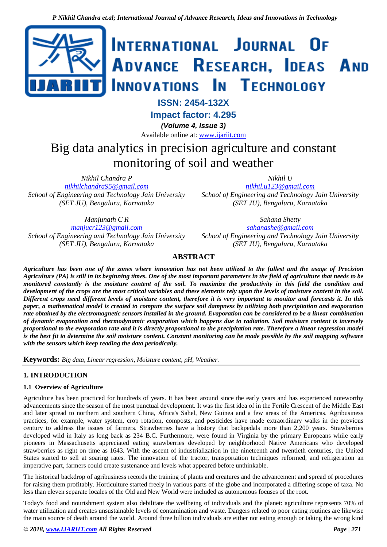

**ISSN: 2454-132X**

**Impact factor: 4.295**

*(Volume 4, Issue 3)*

Available online at: [www.ijariit.com](https://www.ijariit.com/?utm_source=pdf&utm_medium=edition&utm_campaign=OmAkSols&utm_term=V4I3-1313)

# Big data analytics in precision agriculture and constant monitoring of soil and weather

*Nikhil Chandra P*

*[nikhilchandra95@gmail.com](mailto:nikhilchandra95@gmail.com) School of Engineering and Technology Jain University (SET JU), Bengaluru, Karnataka*

*Nikhil U*

*[nikhil.u123@gmail.com](mailto:nikhil.u123@gmail.com) School of Engineering and Technology Jain University (SET JU), Bengaluru, Karnataka*

*Manjunath C R*

*[manjucr123@gmail.com](mailto:manjucr123@gmail.com) School of Engineering and Technology Jain University (SET JU), Bengaluru, Karnataka*

*Sahana Shetty [sahanashe@gmail.com](mailto:sahanashe@gmail.com) School of Engineering and Technology Jain University (SET JU), Bengaluru, Karnataka*

# **ABSTRACT**

*Agriculture has been one of the zones where innovation has not been utilized to the fullest and the usage of Precision Agriculture (PA) is still in its beginning times. One of the most important parameters in the field of agriculture that needs to be monitored constantly is the moisture content of the soil. To maximize the productivity in this field the condition and development of the crops are the most critical variables and these elements rely upon the levels of moisture content in the soil. Different crops need different levels of moisture content, therefore it is very important to monitor and forecasts it. In this paper, a mathematical model is created to compute the surface soil dampness by utilizing both precipitation and evaporation rate obtained by the electromagnetic sensors installed in the ground. Evaporation can be considered to be a linear combination of dynamic evaporation and thermodynamic evaporation which happens due to radiation. Soil moisture content is inversely proportional to the evaporation rate and it is directly proportional to the precipitation rate. Therefore a linear regression model is the best fit to determine the soil moisture content. Constant monitoring can be made possible by the soil mapping software with the sensors which keep reading the data periodically.*

**Keywords:** *Big data, Linear regression, Moisture content, pH, Weather.*

# **1. INTRODUCTION**

## **1.1 Overview of Agriculture**

Agriculture has been practiced for hundreds of years. It has been around since the early years and has experienced noteworthy advancements since the season of the most punctual development. It was the first idea of in the Fertile Crescent of the Middle East and later spread to northern and southern China, Africa's Sahel, New Guinea and a few areas of the Americas. Agribusiness practices, for example, water system, crop rotation, composts, and pesticides have made extraordinary walks in the previous century to address the issues of farmers. Strawberries have a history that backpedals more than 2,200 years. Strawberries developed wild in Italy as long back as 234 B.C. Furthermore, were found in Virginia by the primary Europeans while early pioneers in Massachusetts appreciated eating strawberries developed by neighborhood Native Americans who developed strawberries as right on time as 1643. With the ascent of industrialization in the nineteenth and twentieth centuries, the United States started to sell at soaring rates. The innovation of the tractor, transportation techniques reformed, and refrigeration an imperative part, farmers could create sustenance and levels what appeared before unthinkable.

The historical backdrop of agribusiness records the training of plants and creatures and the advancement and spread of procedures for raising them profitably. Horticulture started freely in various parts of the globe and incorporated a differing scope of taxa. No less than eleven separate locales of the Old and New World were included as autonomous focuses of the root.

Today's food and nourishment system also debilitate the wellbeing of individuals and the planet: agriculture represents 70% of water utilization and creates unsustainable levels of contamination and waste. Dangers related to poor eating routines are likewise the main source of death around the world. Around three billion individuals are either not eating enough or taking the wrong kind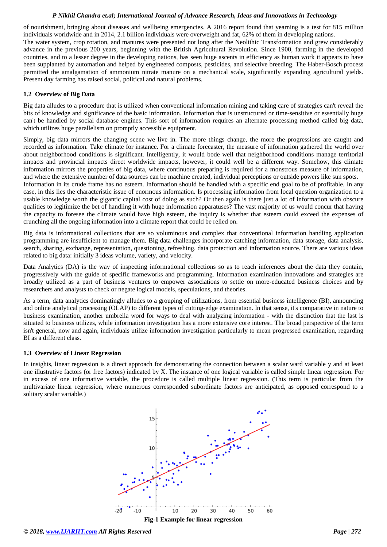#### *P Nikhil Chandra et.al; International Journal of Advance Research, Ideas and Innovations in Technology*

of nourishment, bringing about diseases and wellbeing emergencies. A 2016 report found that yearning is a test for 815 million individuals worldwide and in 2014, 2.1 billion individuals were overweight and fat, 62% of them in developing nations.

The water system, crop rotation, and manures were presented not long after the Neolithic Transformation and grew considerably advance in the previous 200 years, beginning with the British Agricultural Revolution. Since 1900, farming in the developed countries, and to a lesser degree in the developing nations, has seen huge ascents in efficiency as human work it appears to have been supplanted by automation and helped by engineered composts, pesticides, and selective breeding. The Haber-Bosch process permitted the amalgamation of ammonium nitrate manure on a mechanical scale, significantly expanding agricultural yields. Present day farming has raised social, political and natural problems.

#### **1.2 Overview of Big Data**

Big data alludes to a procedure that is utilized when conventional information mining and taking care of strategies can't reveal the bits of knowledge and significance of the basic information. Information that is unstructured or time-sensitive or essentially huge can't be handled by social database engines. This sort of information requires an alternate processing method called big data, which utilizes huge parallelism on promptly accessible equipment.

Simply, big data mirrors the changing scene we live in. The more things change, the more the progressions are caught and recorded as information. Take climate for instance. For a climate forecaster, the measure of information gathered the world over about neighborhood conditions is significant. Intelligently, it would bode well that neighborhood conditions manage territorial impacts and provincial impacts direct worldwide impacts, however, it could well be a different way. Somehow, this climate information mirrors the properties of big data, where continuous preparing is required for a monstrous measure of information, and where the extensive number of data sources can be machine created, individual perceptions or outside powers like sun spots. Information in its crude frame has no esteem. Information should be handled with a specific end goal to be of profitable. In any case, in this lies the characteristic issue of enormous information. Is processing information from local question organization to a usable knowledge worth the gigantic capital cost of doing as such? Or then again is there just a lot of information with obscure

qualities to legitimize the bet of handling it with huge information apparatuses? The vast majority of us would concur that having the capacity to foresee the climate would have high esteem, the inquiry is whether that esteem could exceed the expenses of crunching all the ongoing information into a climate report that could be relied on.

Big data is informational collections that are so voluminous and complex that conventional information handling application programming are insufficient to manage them. Big data challenges incorporate catching information, data storage, data analysis, search, sharing, exchange, representation, questioning, refreshing, data protection and information source. There are various ideas related to big data: initially 3 ideas volume, variety, and velocity.

Data Analytics (DA) is the way of inspecting informational collections so as to reach inferences about the data they contain, progressively with the guide of specific frameworks and programming. Information examination innovations and strategies are broadly utilized as a part of business ventures to empower associations to settle on more-educated business choices and by researchers and analysts to check or negate logical models, speculations, and theories.

As a term, data analytics dominatingly alludes to a grouping of utilizations, from essential business intelligence (BI), announcing and online analytical processing (OLAP) to different types of cutting-edge examination. In that sense, it's comparative in nature to business examination, another umbrella word for ways to deal with analyzing information - with the distinction that the last is situated to business utilizes, while information investigation has a more extensive core interest. The broad perspective of the term isn't general, now and again, individuals utilize information investigation particularly to mean progressed examination, regarding BI as a different class.

#### **1.3 Overview of Linear Regression**

In insights, linear regression is a direct approach for demonstrating the connection between a scalar ward variable y and at least one illustrative factors (or free factors) indicated by X. The instance of one logical variable is called simple linear regression. For in excess of one informative variable, the procedure is called multiple linear regression. (This term is particular from the multivariate linear regression, where numerous corresponded subordinate factors are anticipated, as opposed correspond to a solitary scalar variable.)

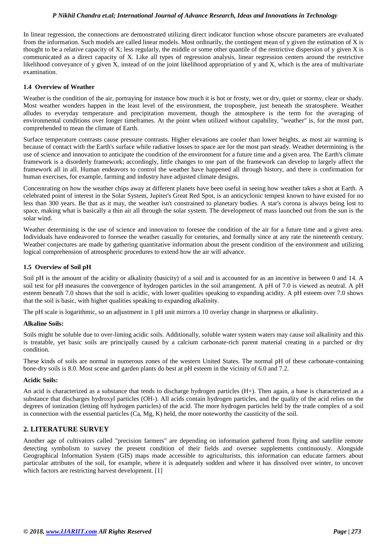## *P Nikhil Chandra et.al; International Journal of Advance Research, Ideas and Innovations in Technology*

In linear regression, the connections are demonstrated utilizing direct indicator function whose obscure parameters are evaluated from the information. Such models are called linear models. Most ordinarily, the contingent mean of y given the estimation of X is thought to be a relative capacity of X; less regularly, the middle or some other quantile of the restrictive dispersion of y given X is communicated as a direct capacity of X. Like all types of regression analysis, linear regression centers around the restrictive likelihood conveyance of y given X, instead of on the joint likelihood appropriation of y and X, which is the area of multivariate examination.

#### **1.4 Overview of Weather**

Weather is the condition of the air, portraying for instance how much it is hot or frosty, wet or dry, quiet or stormy, clear or shady. Most weather wonders happen in the least level of the environment, the troposphere, just beneath the stratosphere. Weather alludes to everyday temperature and precipitation movement, though the atmosphere is the term for the averaging of environmental conditions over longer timeframes. At the point when utilized without capability, "weather" is, for the most part, comprehended to mean the climate of Earth.

Surface temperature contrasts cause pressure contrasts. Higher elevations are cooler than lower heights, as most air warming is because of contact with the Earth's surface while radiative losses to space are for the most part steady. Weather determining is the use of science and innovation to anticipate the condition of the environment for a future time and a given area. The Earth's climate framework is a disorderly framework; accordingly, little changes to one part of the framework can develop to largely affect the framework all in all. Human endeavors to control the weather have happened all through history, and there is confirmation for human exercises, for example, farming and industry have adjusted climate designs.

Concentrating on how the weather chips away at different planets have been useful in seeing how weather takes a shot at Earth. A celebrated point of interest in the Solar System, Jupiter's Great Red Spot, is an anticyclonic tempest known to have existed for no less than 300 years. Be that as it may, the weather isn't constrained to planetary bodies. A star's corona is always being lost to space, making what is basically a thin air all through the solar system. The development of mass launched out from the sun is the solar wind.

Weather determining is the use of science and innovation to foresee the condition of the air for a future time and a given area. Individuals have endeavored to foresee the weather casually for centuries, and formally since at any rate the nineteenth century. Weather conjectures are made by gathering quantitative information about the present condition of the environment and utilizing logical comprehension of atmospheric procedures to extend how the air will advance.

#### **1.5 Overview of Soil pH**

Soil pH is the amount of the acidity or alkalinity (basicity) of a soil and is accounted for as an incentive in between 0 and 14. A soil test for pH measures the convergence of hydrogen particles in the soil arrangement. A pH of 7.0 is viewed as neutral. A pH esteem beneath 7.0 shows that the soil is acidic, with lower qualities speaking to expanding acidity. A pH esteem over 7.0 shows that the soil is basic, with higher qualities speaking to expanding alkalinity.

The pH scale is logarithmic, so an adjustment in 1 pH unit mirrors a 10 overlay change in sharpness or alkalinity.

#### **Alkaline Soils:**

Soils might be soluble due to over-liming acidic soils. Additionally, soluble water system waters may cause soil alkalinity and this is treatable, yet basic soils are principally caused by a calcium carbonate-rich parent material creating in a parched or dry condition.

These kinds of soils are normal in numerous zones of the western United States. The normal pH of these carbonate-containing bone-dry soils is 8.0. Most scene and garden plants do best at pH esteem in the vicinity of 6.0 and 7.2.

#### **Acidic Soils:**

An acid is characterized as a substance that tends to discharge hydrogen particles (H+). Then again, a base is characterized as a substance that discharges hydroxyl particles (OH-). All acids contain hydrogen particles, and the quality of the acid relies on the degrees of ionization (letting off hydrogen particles) of the acid. The more hydrogen particles held by the trade complex of a soil in connection with the essential particles (Ca, Mg, K) held, the more noteworthy the causticity of the soil.

#### **2. LITERATURE SURVEY**

Another age of cultivators called "precision farmers" are depending on information gathered from flying and satellite remote detecting symbolism to survey the present condition of their fields and oversee supplements continuously. Alongside Geographical Information System (GIS) maps made accessible to agriculturists, this information can educate farmers about particular attributes of the soil, for example, where it is adequately sodden and where it has dissolved over winter, to uncover which factors are restricting harvest development. [1]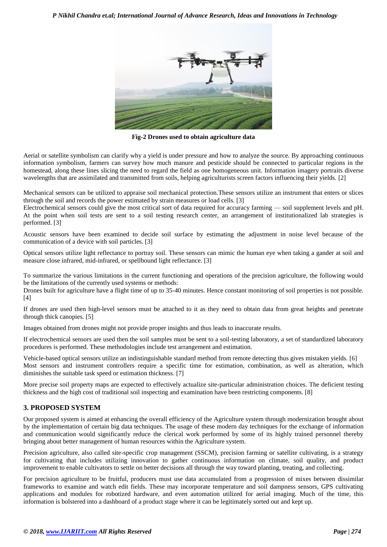

**Fig-2 Drones used to obtain agriculture data**

Aerial or satellite symbolism can clarify why a yield is under pressure and how to analyze the source. By approaching continuous information symbolism, farmers can survey how much manure and pesticide should be connected to particular regions in the homestead, along these lines slicing the need to regard the field as one homogeneous unit. Information imagery portraits diverse wavelengths that are assimilated and transmitted from soils, helping agriculturists screen factors influencing their yields. [2]

Mechanical sensors can be utilized to appraise soil mechanical protection.These sensors utilize an instrument that enters or slices through the soil and records the power estimated by strain measures or load cells. [3]

Electrochemical sensors could give the most critical sort of data required for accuracy farming — soil supplement levels and pH. At the point when soil tests are sent to a soil testing research center, an arrangement of institutionalized lab strategies is performed. [3]

Acoustic sensors have been examined to decide soil surface by estimating the adjustment in noise level because of the communication of a device with soil particles. [3]

Optical sensors utilize light reflectance to portray soil. These sensors can mimic the human eye when taking a gander at soil and measure close infrared, mid-infrared, or spellbound light reflectance. [3]

To summarize the various limitations in the current functioning and operations of the precision agriculture, the following would be the limitations of the currently used systems or methods:

Drones built for agriculture have a flight time of up to 35-40 minutes. Hence constant monitoring of soil properties is not possible. [4]

If drones are used then high-level sensors must be attached to it as they need to obtain data from great heights and penetrate through thick canopies. [5]

Images obtained from drones might not provide proper insights and thus leads to inaccurate results.

If electrochemical sensors are used then the soil samples must be sent to a soil-testing laboratory, a set of standardized laboratory procedures is performed. These methodologies include test arrangement and estimation.

Vehicle-based optical sensors utilize an indistinguishable standard method from remote detecting thus gives mistaken yields. [6] Most sensors and instrument controllers require a specific time for estimation, combination, as well as alteration, which diminishes the suitable task speed or estimation thickness. [7]

More precise soil property maps are expected to effectively actualize site-particular administration choices. The deficient testing thickness and the high cost of traditional soil inspecting and examination have been restricting components. [8]

## **3. PROPOSED SYSTEM**

Our proposed system is aimed at enhancing the overall efficiency of the Agriculture system through modernization brought about by the implementation of certain big data techniques. The usage of these modern day techniques for the exchange of information and communication would significantly reduce the clerical work performed by some of its highly trained personnel thereby bringing about better management of human resources within the Agriculture system.

Precision agriculture, also called site-specific crop management (SSCM), precision farming or satellite cultivating, is a strategy for cultivating that includes utilizing innovation to gather continuous information on climate, soil quality, and product improvement to enable cultivators to settle on better decisions all through the way toward planting, treating, and collecting.

For precision agriculture to be fruitful, producers must use data accumulated from a progression of mixes between dissimilar frameworks to examine and watch edit fields. These may incorporate temperature and soil dampness sensors, GPS cultivating applications and modules for robotized hardware, and even automation utilized for aerial imaging. Much of the time, this information is bolstered into a dashboard of a product stage where it can be legitimately sorted out and kept up.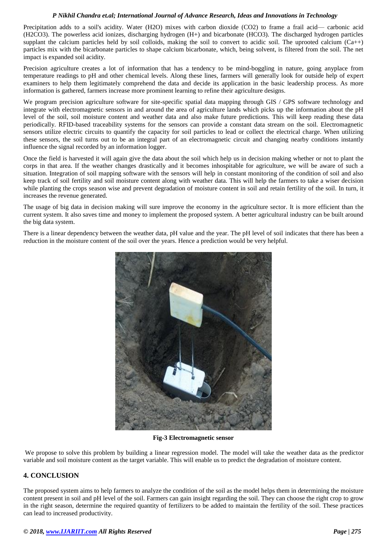#### *P Nikhil Chandra et.al; International Journal of Advance Research, Ideas and Innovations in Technology*

Precipitation adds to a soil's acidity. Water (H2O) mixes with carbon dioxide (CO2) to frame a frail acid— carbonic acid (H2CO3). The powerless acid ionizes, discharging hydrogen (H+) and bicarbonate (HCO3). The discharged hydrogen particles supplant the calcium particles held by soil colloids, making the soil to convert to acidic soil. The uprooted calcium  $(Ca++)$ particles mix with the bicarbonate particles to shape calcium bicarbonate, which, being solvent, is filtered from the soil. The net impact is expanded soil acidity.

Precision agriculture creates a lot of information that has a tendency to be mind-boggling in nature, going anyplace from temperature readings to pH and other chemical levels. Along these lines, farmers will generally look for outside help of expert examiners to help them legitimately comprehend the data and decide its application in the basic leadership process. As more information is gathered, farmers increase more prominent learning to refine their agriculture designs.

We program precision agriculture software for site-specific spatial data mapping through GIS / GPS software technology and integrate with electromagnetic sensors in and around the area of agriculture lands which picks up the information about the pH level of the soil, soil moisture content and weather data and also make future predictions. This will keep reading these data periodically. RFID-based traceability systems for the sensors can provide a constant data stream on the soil. Electromagnetic sensors utilize electric circuits to quantify the capacity for soil particles to lead or collect the electrical charge. When utilizing these sensors, the soil turns out to be an integral part of an electromagnetic circuit and changing nearby conditions instantly influence the signal recorded by an information logger.

Once the field is harvested it will again give the data about the soil which help us in decision making whether or not to plant the corps in that area. If the weather changes drastically and it becomes inhospitable for agriculture, we will be aware of such a situation. Integration of soil mapping software with the sensors will help in constant monitoring of the condition of soil and also keep track of soil fertility and soil moisture content along with weather data. This will help the farmers to take a wiser decision while planting the crops season wise and prevent degradation of moisture content in soil and retain fertility of the soil. In turn, it increases the revenue generated.

The usage of big data in decision making will sure improve the economy in the agriculture sector. It is more efficient than the current system. It also saves time and money to implement the proposed system. A better agricultural industry can be built around the big data system.

There is a linear dependency between the weather data, pH value and the year. The pH level of soil indicates that there has been a reduction in the moisture content of the soil over the years. Hence a prediction would be very helpful.



**Fig-3 Electromagnetic sensor**

We propose to solve this problem by building a linear regression model. The model will take the weather data as the predictor variable and soil moisture content as the target variable. This will enable us to predict the degradation of moisture content.

# **4. CONCLUSION**

The proposed system aims to help farmers to analyze the condition of the soil as the model helps them in determining the moisture content present in soil and pH level of the soil. Farmers can gain insight regarding the soil. They can choose the right crop to grow in the right season, determine the required quantity of fertilizers to be added to maintain the fertility of the soil. These practices can lead to increased productivity.